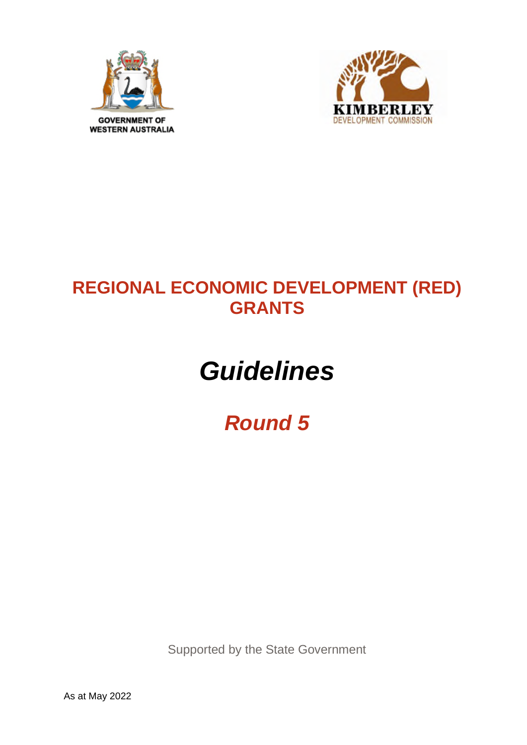



## **REGIONAL ECONOMIC DEVELOPMENT (RED) GRANTS**

# *Guidelines*

## *Round 5*

Supported by the State Government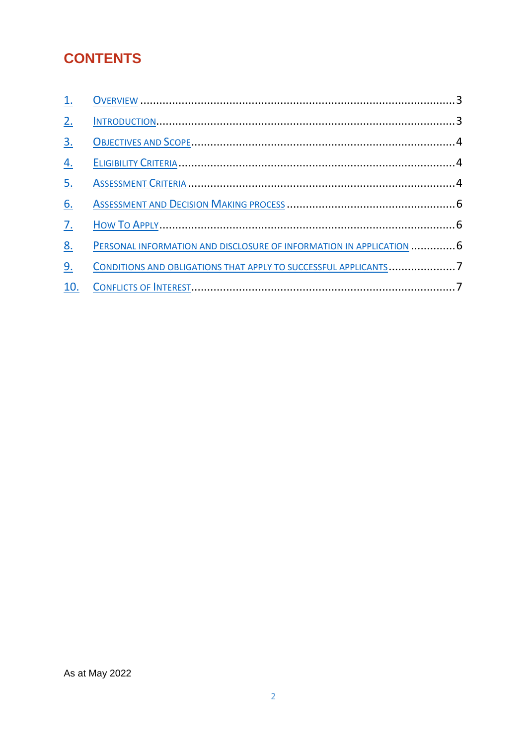## **CONTENTS**

| 2.               |                                                                      |  |
|------------------|----------------------------------------------------------------------|--|
| 3.               |                                                                      |  |
| $\overline{4}$ . |                                                                      |  |
| <u>5.</u>        |                                                                      |  |
| 6.               |                                                                      |  |
| $\overline{1}$ . |                                                                      |  |
| <u>8.</u>        | PERSONAL INFORMATION AND DISCLOSURE OF INFORMATION IN APPLICATION  6 |  |
| 9.               |                                                                      |  |
|                  |                                                                      |  |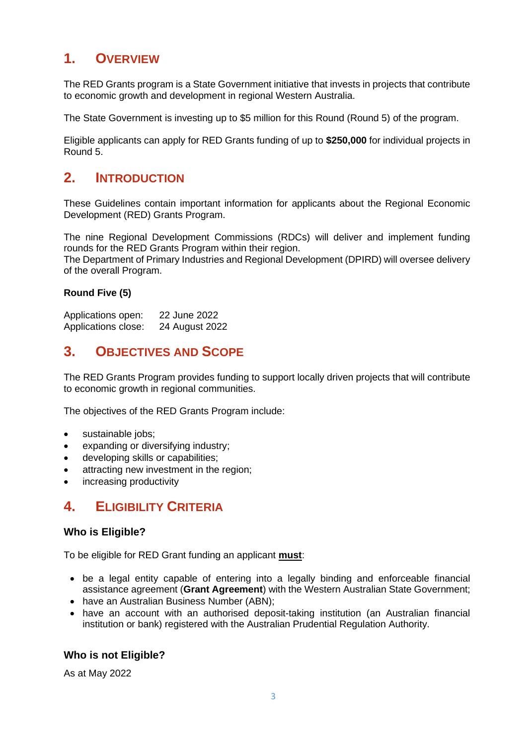## **1. OVERVIEW**

The RED Grants program is a State Government initiative that invests in projects that contribute to economic growth and development in regional Western Australia.

The State Government is investing up to \$5 million for this Round (Round 5) of the program.

Eligible applicants can apply for RED Grants funding of up to **\$250,000** for individual projects in Round 5.

## **2. INTRODUCTION**

These Guidelines contain important information for applicants about the Regional Economic Development (RED) Grants Program.

The nine Regional Development Commissions (RDCs) will deliver and implement funding rounds for the RED Grants Program within their region.

The Department of Primary Industries and Regional Development (DPIRD) will oversee delivery of the overall Program.

#### **Round Five (5)**

Applications open: 22 June 2022 Applications close: 24 August 2022

## **3. OBJECTIVES AND SCOPE**

The RED Grants Program provides funding to support locally driven projects that will contribute to economic growth in regional communities.

The objectives of the RED Grants Program include:

- sustainable jobs;
- expanding or diversifying industry;
- developing skills or capabilities;
- attracting new investment in the region;
- increasing productivity

## **4. ELIGIBILITY CRITERIA**

#### **Who is Eligible?**

To be eligible for RED Grant funding an applicant **must**:

- be a legal entity capable of entering into a legally binding and enforceable financial assistance agreement (**Grant Agreement**) with the Western Australian State Government;
- have an Australian Business Number (ABN);
- have an account with an authorised deposit-taking institution (an Australian financial institution or bank) registered with the Australian Prudential Regulation Authority.

#### **Who is not Eligible?**

As at May 2022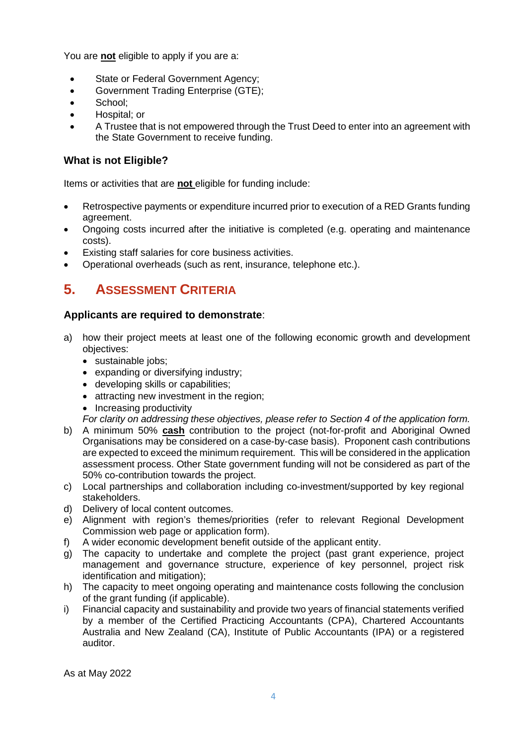You are **not** eligible to apply if you are a:

- State or Federal Government Agency;
- Government Trading Enterprise (GTE);
- School:
- Hospital; or
- A Trustee that is not empowered through the Trust Deed to enter into an agreement with the State Government to receive funding.

#### **What is not Eligible?**

Items or activities that are **not** eligible for funding include:

- Retrospective payments or expenditure incurred prior to execution of a RED Grants funding agreement.
- Ongoing costs incurred after the initiative is completed (e.g. operating and maintenance costs).
- Existing staff salaries for core business activities.
- Operational overheads (such as rent, insurance, telephone etc.).

## **5. ASSESSMENT CRITERIA**

#### **Applicants are required to demonstrate**:

- a) how their project meets at least one of the following economic growth and development objectives:
	- sustainable jobs;
	- expanding or diversifying industry;
	- developing skills or capabilities;
	- attracting new investment in the region;
	- Increasing productivity
	- *For clarity on addressing these objectives, please refer to Section 4 of the application form.*
- b) A minimum 50% **cash** contribution to the project (not-for-profit and Aboriginal Owned Organisations may be considered on a case-by-case basis). Proponent cash contributions are expected to exceed the minimum requirement. This will be considered in the application assessment process. Other State government funding will not be considered as part of the 50% co-contribution towards the project.
- c) Local partnerships and collaboration including co-investment/supported by key regional stakeholders.
- d) Delivery of local content outcomes.
- e) Alignment with region's themes/priorities (refer to relevant Regional Development Commission web page or application form).
- f) A wider economic development benefit outside of the applicant entity.
- g) The capacity to undertake and complete the project (past grant experience, project management and governance structure, experience of key personnel, project risk identification and mitigation);
- h) The capacity to meet ongoing operating and maintenance costs following the conclusion of the grant funding (if applicable).
- i) Financial capacity and sustainability and provide two years of financial statements verified by a member of the Certified Practicing Accountants (CPA), Chartered Accountants Australia and New Zealand (CA), Institute of Public Accountants (IPA) or a registered auditor.

As at May 2022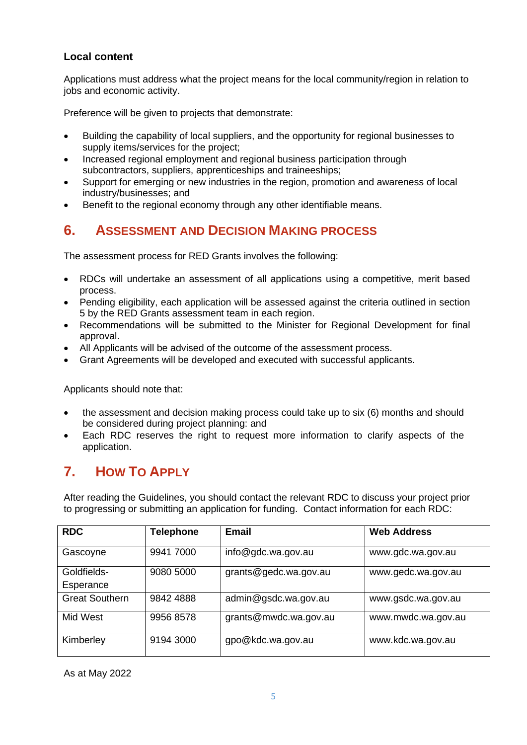#### **Local content**

Applications must address what the project means for the local community/region in relation to jobs and economic activity.

Preference will be given to projects that demonstrate:

- Building the capability of local suppliers, and the opportunity for regional businesses to supply items/services for the project;
- Increased regional employment and regional business participation through subcontractors, suppliers, apprenticeships and traineeships;
- Support for emerging or new industries in the region, promotion and awareness of local industry/businesses; and
- Benefit to the regional economy through any other identifiable means.

## **6. ASSESSMENT AND DECISION MAKING PROCESS**

The assessment process for RED Grants involves the following:

- RDCs will undertake an assessment of all applications using a competitive, merit based process.
- Pending eligibility, each application will be assessed against the criteria outlined in section 5 by the RED Grants assessment team in each region.
- Recommendations will be submitted to the Minister for Regional Development for final approval.
- All Applicants will be advised of the outcome of the assessment process.
- Grant Agreements will be developed and executed with successful applicants.

Applicants should note that:

- the assessment and decision making process could take up to six (6) months and should be considered during project planning: and
- Each RDC reserves the right to request more information to clarify aspects of the application.

## **7. HOW TO APPLY**

After reading the Guidelines, you should contact the relevant RDC to discuss your project prior to progressing or submitting an application for funding. Contact information for each RDC:

| <b>RDC</b>            | <b>Telephone</b> | Email                 | <b>Web Address</b> |
|-----------------------|------------------|-----------------------|--------------------|
| Gascoyne              | 9941 7000        | info@gdc.wa.gov.au    | www.gdc.wa.gov.au  |
| Goldfields-           | 9080 5000        | grants@gedc.wa.gov.au | www.gedc.wa.gov.au |
| Esperance             |                  |                       |                    |
| <b>Great Southern</b> | 9842 4888        | admin@gsdc.wa.gov.au  | www.gsdc.wa.gov.au |
| Mid West              | 9956 8578        | grants@mwdc.wa.gov.au | www.mwdc.wa.gov.au |
| Kimberley             | 9194 3000        | gpo@kdc.wa.gov.au     | www.kdc.wa.gov.au  |

As at May 2022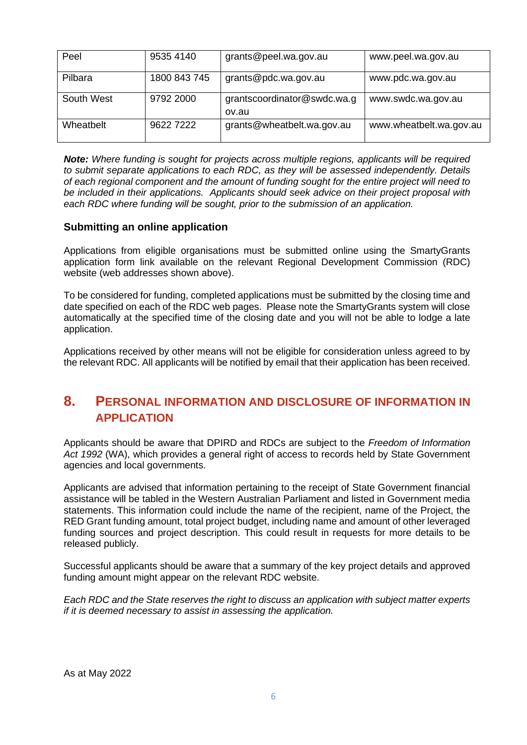| Peel       | 9535 4140    | grants@peel.wa.gov.au       | www.peel.wa.gov.au      |
|------------|--------------|-----------------------------|-------------------------|
|            |              |                             |                         |
|            |              |                             |                         |
| Pilbara    | 1800 843 745 | grants@pdc.wa.gov.au        |                         |
|            |              |                             | www.pdc.wa.gov.au       |
|            |              |                             |                         |
| South West | 9792 2000    | grantscoordinator@swdc.wa.g |                         |
|            |              |                             | www.swdc.wa.gov.au      |
|            |              |                             |                         |
|            |              | ov.au                       |                         |
| Wheathelt  | 9622 7222    |                             |                         |
|            |              | grants@wheatbelt.wa.gov.au  | www.wheatbelt.wa.gov.au |
|            |              |                             |                         |
|            |              |                             |                         |

*Note: Where funding is sought for projects across multiple regions, applicants will be required to submit separate applications to each RDC, as they will be assessed independently. Details of each regional component and the amount of funding sought for the entire project will need to be included in their applications. Applicants should seek advice on their project proposal with each RDC where funding will be sought, prior to the submission of an application.*

#### **Submitting an online application**

Applications from eligible organisations must be submitted online using the SmartyGrants application form link available on the relevant Regional Development Commission (RDC) website (web addresses shown above).

To be considered for funding, completed applications must be submitted by the closing time and date specified on each of the RDC web pages. Please note the SmartyGrants system will close automatically at the specified time of the closing date and you will not be able to lodge a late application.

Applications received by other means will not be eligible for consideration unless agreed to by the relevant RDC. All applicants will be notified by email that their application has been received.

### **8. PERSONAL INFORMATION AND DISCLOSURE OF INFORMATION IN APPLICATION**

Applicants should be aware that DPIRD and RDCs are subject to the *Freedom of Information* Act 1992 (WA), which provides a general right of access to records held by State Government agencies and local governments.

Applicants are advised that information pertaining to the receipt of State Government financial assistance will be tabled in the Western Australian Parliament and listed in Government media statements. This information could include the name of the recipient, name of the Project, the RED Grant funding amount, total project budget, including name and amount of other leveraged funding sources and project description. This could result in requests for more details to be released publicly.

Successful applicants should be aware that a summary of the key project details and approved funding amount might appear on the relevant RDC website.

*Each RDC and the State reserves the right to discuss an application with subject matter experts if it is deemed necessary to assist in assessing the application.*